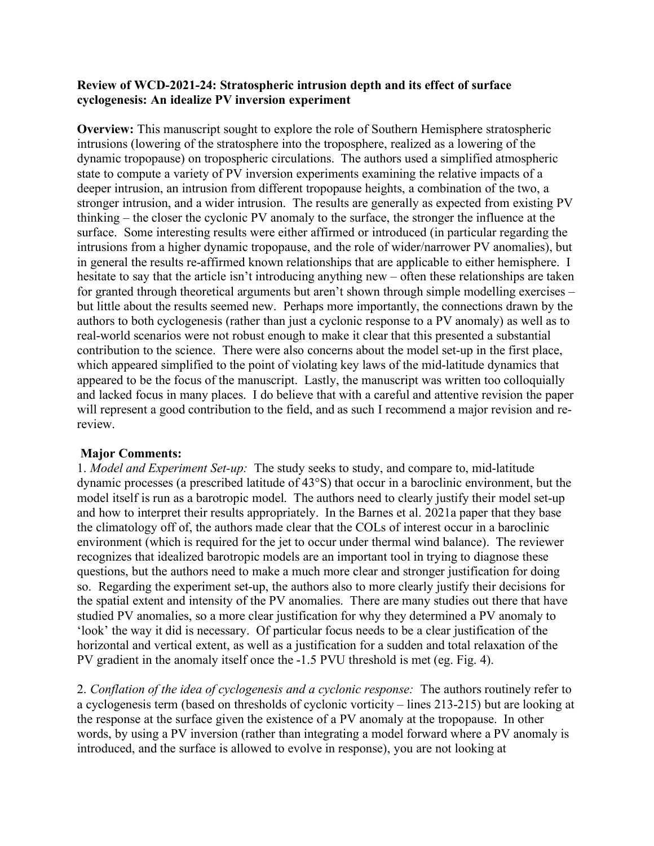## **Review of WCD-2021-24: Stratospheric intrusion depth and its effect of surface cyclogenesis: An idealize PV inversion experiment**

**Overview:** This manuscript sought to explore the role of Southern Hemisphere stratospheric intrusions (lowering of the stratosphere into the troposphere, realized as a lowering of the dynamic tropopause) on tropospheric circulations. The authors used a simplified atmospheric state to compute a variety of PV inversion experiments examining the relative impacts of a deeper intrusion, an intrusion from different tropopause heights, a combination of the two, a stronger intrusion, and a wider intrusion. The results are generally as expected from existing PV thinking – the closer the cyclonic PV anomaly to the surface, the stronger the influence at the surface. Some interesting results were either affirmed or introduced (in particular regarding the intrusions from a higher dynamic tropopause, and the role of wider/narrower PV anomalies), but in general the results re-affirmed known relationships that are applicable to either hemisphere. I hesitate to say that the article isn't introducing anything new – often these relationships are taken for granted through theoretical arguments but aren't shown through simple modelling exercises – but little about the results seemed new. Perhaps more importantly, the connections drawn by the authors to both cyclogenesis (rather than just a cyclonic response to a PV anomaly) as well as to real-world scenarios were not robust enough to make it clear that this presented a substantial contribution to the science. There were also concerns about the model set-up in the first place, which appeared simplified to the point of violating key laws of the mid-latitude dynamics that appeared to be the focus of the manuscript. Lastly, the manuscript was written too colloquially and lacked focus in many places. I do believe that with a careful and attentive revision the paper will represent a good contribution to the field, and as such I recommend a major revision and rereview.

## **Major Comments:**

1. *Model and Experiment Set-up:* The study seeks to study, and compare to, mid-latitude dynamic processes (a prescribed latitude of 43°S) that occur in a baroclinic environment, but the model itself is run as a barotropic model. The authors need to clearly justify their model set-up and how to interpret their results appropriately. In the Barnes et al. 2021a paper that they base the climatology off of, the authors made clear that the COLs of interest occur in a baroclinic environment (which is required for the jet to occur under thermal wind balance). The reviewer recognizes that idealized barotropic models are an important tool in trying to diagnose these questions, but the authors need to make a much more clear and stronger justification for doing so. Regarding the experiment set-up, the authors also to more clearly justify their decisions for the spatial extent and intensity of the PV anomalies. There are many studies out there that have studied PV anomalies, so a more clear justification for why they determined a PV anomaly to 'look' the way it did is necessary. Of particular focus needs to be a clear justification of the horizontal and vertical extent, as well as a justification for a sudden and total relaxation of the PV gradient in the anomaly itself once the -1.5 PVU threshold is met (eg. Fig. 4).

2. *Conflation of the idea of cyclogenesis and a cyclonic response:* The authors routinely refer to a cyclogenesis term (based on thresholds of cyclonic vorticity – lines 213-215) but are looking at the response at the surface given the existence of a PV anomaly at the tropopause. In other words, by using a PV inversion (rather than integrating a model forward where a PV anomaly is introduced, and the surface is allowed to evolve in response), you are not looking at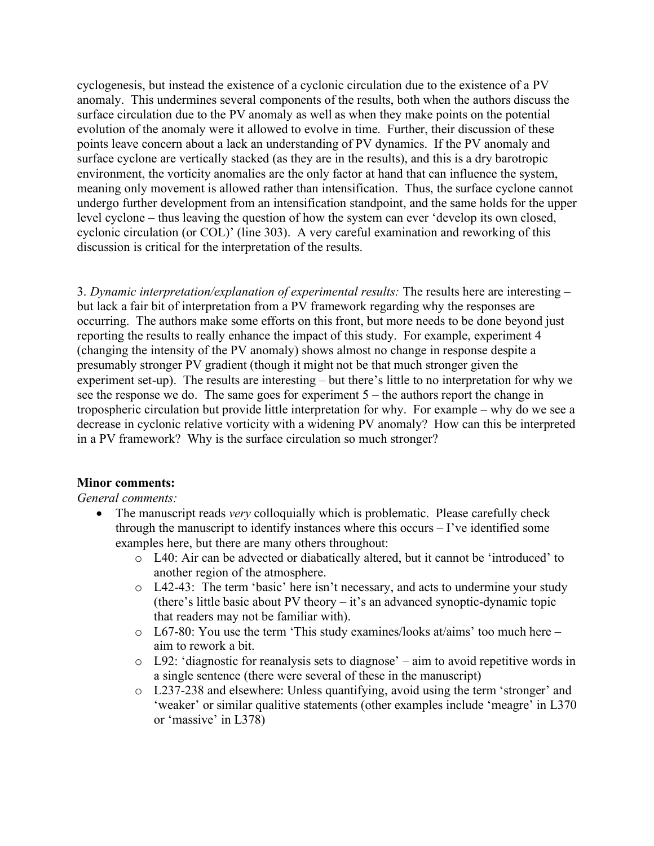cyclogenesis, but instead the existence of a cyclonic circulation due to the existence of a PV anomaly. This undermines several components of the results, both when the authors discuss the surface circulation due to the PV anomaly as well as when they make points on the potential evolution of the anomaly were it allowed to evolve in time. Further, their discussion of these points leave concern about a lack an understanding of PV dynamics. If the PV anomaly and surface cyclone are vertically stacked (as they are in the results), and this is a dry barotropic environment, the vorticity anomalies are the only factor at hand that can influence the system, meaning only movement is allowed rather than intensification. Thus, the surface cyclone cannot undergo further development from an intensification standpoint, and the same holds for the upper level cyclone – thus leaving the question of how the system can ever 'develop its own closed, cyclonic circulation (or COL)' (line 303). A very careful examination and reworking of this discussion is critical for the interpretation of the results.

3. *Dynamic interpretation/explanation of experimental results:* The results here are interesting – but lack a fair bit of interpretation from a PV framework regarding why the responses are occurring. The authors make some efforts on this front, but more needs to be done beyond just reporting the results to really enhance the impact of this study. For example, experiment 4 (changing the intensity of the PV anomaly) shows almost no change in response despite a presumably stronger PV gradient (though it might not be that much stronger given the experiment set-up). The results are interesting – but there's little to no interpretation for why we see the response we do. The same goes for experiment 5 – the authors report the change in tropospheric circulation but provide little interpretation for why. For example – why do we see a decrease in cyclonic relative vorticity with a widening PV anomaly? How can this be interpreted in a PV framework? Why is the surface circulation so much stronger?

## **Minor comments:**

## *General comments:*

- The manuscript reads *very* colloquially which is problematic. Please carefully check through the manuscript to identify instances where this occurs – I've identified some examples here, but there are many others throughout:
	- o L40: Air can be advected or diabatically altered, but it cannot be 'introduced' to another region of the atmosphere.
	- o L42-43: The term 'basic' here isn't necessary, and acts to undermine your study (there's little basic about PV theory – it's an advanced synoptic-dynamic topic that readers may not be familiar with).
	- o L67-80: You use the term 'This study examines/looks at/aims' too much here aim to rework a bit.
	- o L92: 'diagnostic for reanalysis sets to diagnose' aim to avoid repetitive words in a single sentence (there were several of these in the manuscript)
	- o L237-238 and elsewhere: Unless quantifying, avoid using the term 'stronger' and 'weaker' or similar qualitive statements (other examples include 'meagre' in L370 or 'massive' in L378)